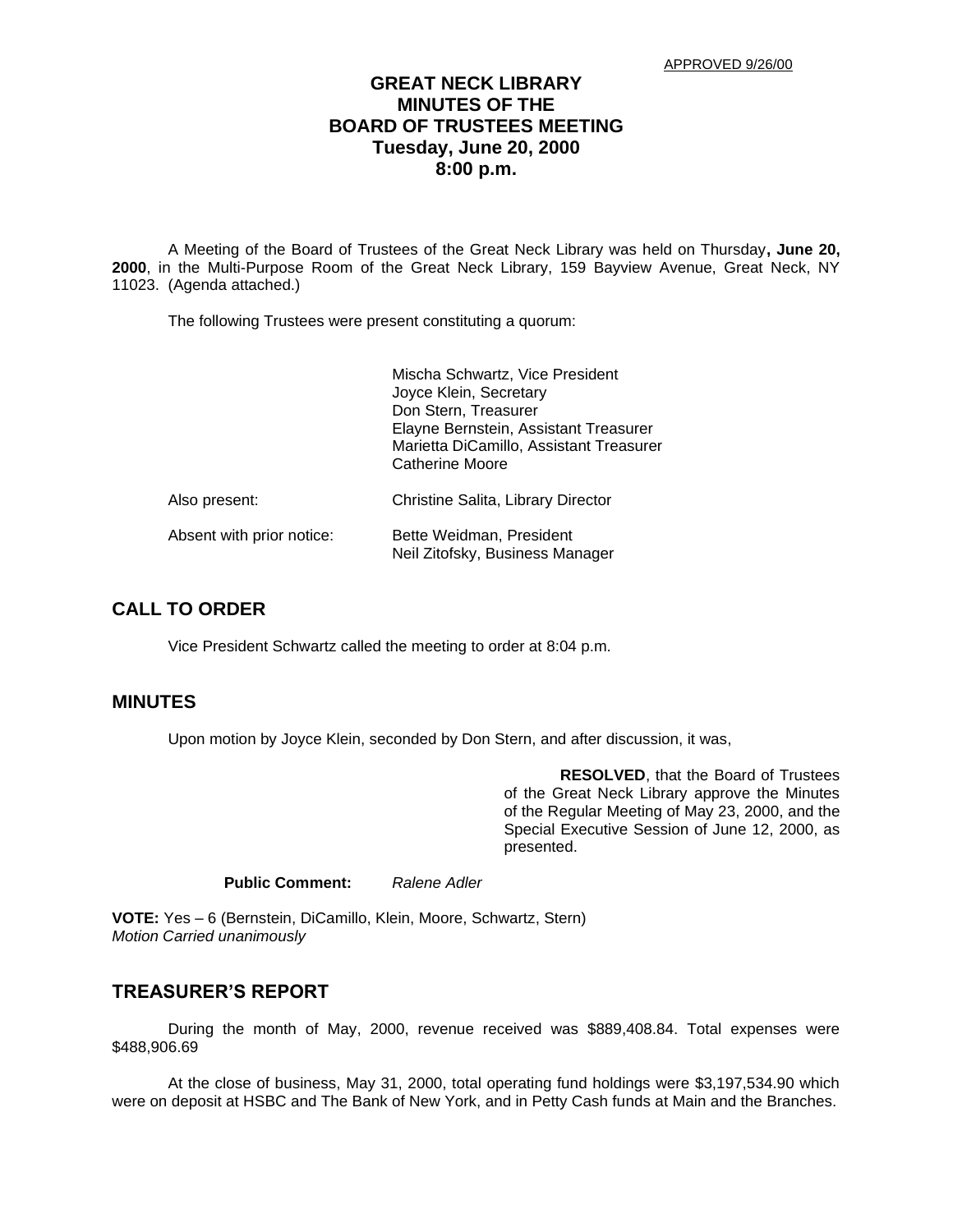# **GREAT NECK LIBRARY MINUTES OF THE BOARD OF TRUSTEES MEETING Tuesday, June 20, 2000 8:00 p.m.**

A Meeting of the Board of Trustees of the Great Neck Library was held on Thursday**, June 20, 2000**, in the Multi-Purpose Room of the Great Neck Library, 159 Bayview Avenue, Great Neck, NY 11023. (Agenda attached.)

The following Trustees were present constituting a quorum:

|                           | Mischa Schwartz, Vice President<br>Joyce Klein, Secretary<br>Don Stern, Treasurer<br>Elayne Bernstein, Assistant Treasurer<br>Marietta DiCamillo, Assistant Treasurer<br>Catherine Moore |
|---------------------------|------------------------------------------------------------------------------------------------------------------------------------------------------------------------------------------|
| Also present:             | Christine Salita, Library Director                                                                                                                                                       |
| Absent with prior notice: | Bette Weidman, President<br>Neil Zitofsky, Business Manager                                                                                                                              |

### **CALL TO ORDER**

Vice President Schwartz called the meeting to order at 8:04 p.m.

### **MINUTES**

Upon motion by Joyce Klein, seconded by Don Stern, and after discussion, it was,

**RESOLVED**, that the Board of Trustees of the Great Neck Library approve the Minutes of the Regular Meeting of May 23, 2000, and the Special Executive Session of June 12, 2000, as presented.

```
Public Comment: Ralene Adler
```
**VOTE:** Yes – 6 (Bernstein, DiCamillo, Klein, Moore, Schwartz, Stern) *Motion Carried unanimously*

# **TREASURER'S REPORT**

During the month of May, 2000, revenue received was \$889,408.84. Total expenses were \$488,906.69

At the close of business, May 31, 2000, total operating fund holdings were \$3,197,534.90 which were on deposit at HSBC and The Bank of New York, and in Petty Cash funds at Main and the Branches.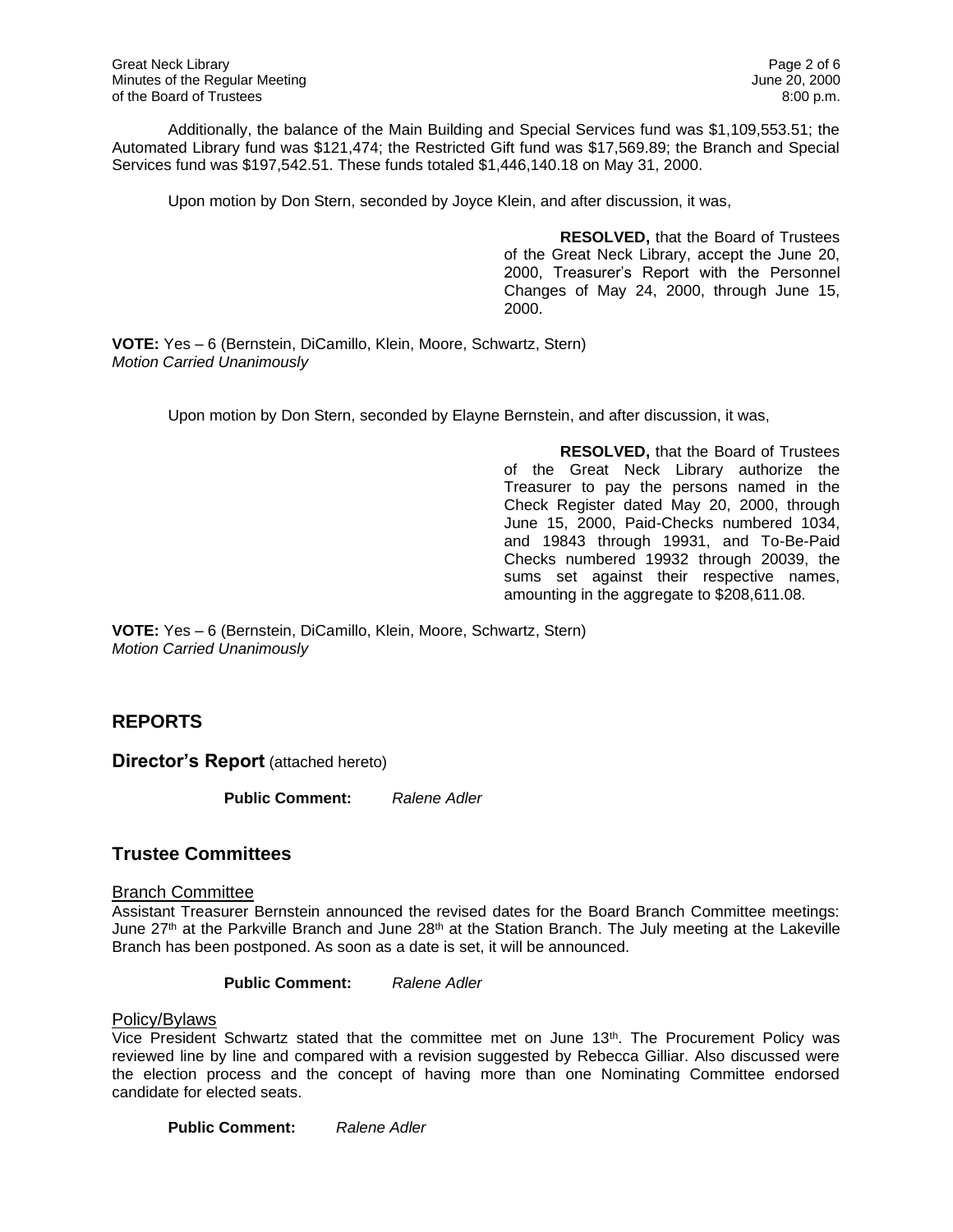Additionally, the balance of the Main Building and Special Services fund was \$1,109,553.51; the Automated Library fund was \$121,474; the Restricted Gift fund was \$17,569.89; the Branch and Special Services fund was \$197,542.51. These funds totaled \$1,446,140.18 on May 31, 2000.

Upon motion by Don Stern, seconded by Joyce Klein, and after discussion, it was,

**RESOLVED,** that the Board of Trustees of the Great Neck Library, accept the June 20, 2000, Treasurer's Report with the Personnel Changes of May 24, 2000, through June 15, 2000.

**VOTE:** Yes – 6 (Bernstein, DiCamillo, Klein, Moore, Schwartz, Stern) *Motion Carried Unanimously*

Upon motion by Don Stern, seconded by Elayne Bernstein, and after discussion, it was,

**RESOLVED,** that the Board of Trustees of the Great Neck Library authorize the Treasurer to pay the persons named in the Check Register dated May 20, 2000, through June 15, 2000, Paid-Checks numbered 1034, and 19843 through 19931, and To-Be-Paid Checks numbered 19932 through 20039, the sums set against their respective names, amounting in the aggregate to \$208,611.08.

**VOTE:** Yes – 6 (Bernstein, DiCamillo, Klein, Moore, Schwartz, Stern) *Motion Carried Unanimously*

# **REPORTS**

**Director's Report** (attached hereto)

**Public Comment:** *Ralene Adler*

# **Trustee Committees**

### Branch Committee

Assistant Treasurer Bernstein announced the revised dates for the Board Branch Committee meetings: June  $27<sup>th</sup>$  at the Parkville Branch and June  $28<sup>th</sup>$  at the Station Branch. The July meeting at the Lakeville Branch has been postponed. As soon as a date is set, it will be announced.

**Public Comment:** *Ralene Adler*

#### Policy/Bylaws

Vice President Schwartz stated that the committee met on June 13<sup>th</sup>. The Procurement Policy was reviewed line by line and compared with a revision suggested by Rebecca Gilliar. Also discussed were the election process and the concept of having more than one Nominating Committee endorsed candidate for elected seats.

**Public Comment:** *Ralene Adler*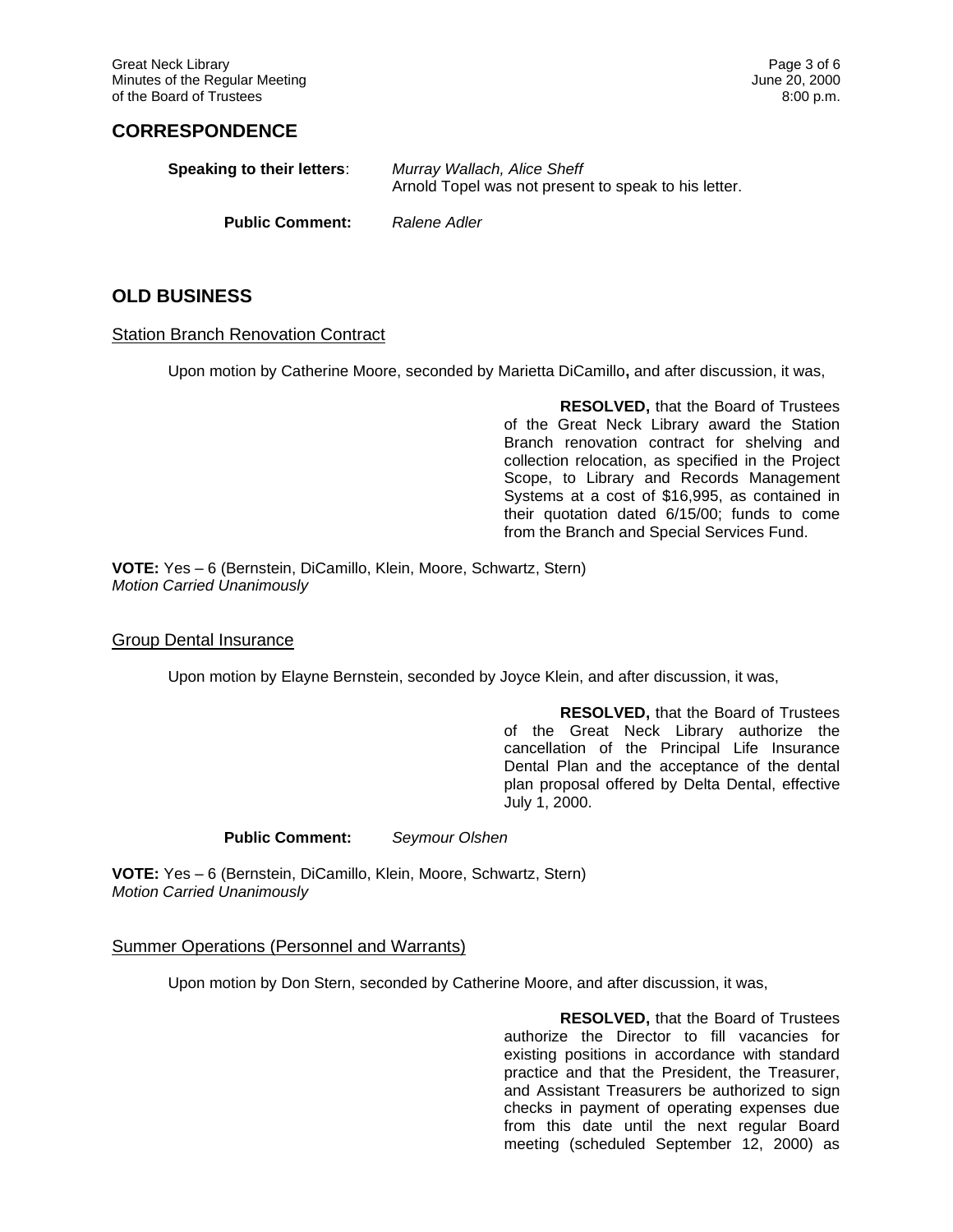# **CORRESPONDENCE**

| Speaking to their letters: | Murray Wallach, Alice Sheff<br>Arnold Topel was not present to speak to his letter. |
|----------------------------|-------------------------------------------------------------------------------------|
| <b>Public Comment:</b>     | Ralene Adler                                                                        |

# **OLD BUSINESS**

#### Station Branch Renovation Contract

Upon motion by Catherine Moore, seconded by Marietta DiCamillo**,** and after discussion, it was,

**RESOLVED,** that the Board of Trustees of the Great Neck Library award the Station Branch renovation contract for shelving and collection relocation, as specified in the Project Scope, to Library and Records Management Systems at a cost of \$16,995, as contained in their quotation dated 6/15/00; funds to come from the Branch and Special Services Fund.

**VOTE:** Yes – 6 (Bernstein, DiCamillo, Klein, Moore, Schwartz, Stern) *Motion Carried Unanimously*

#### Group Dental Insurance

Upon motion by Elayne Bernstein, seconded by Joyce Klein, and after discussion, it was,

**RESOLVED,** that the Board of Trustees of the Great Neck Library authorize the cancellation of the Principal Life Insurance Dental Plan and the acceptance of the dental plan proposal offered by Delta Dental, effective July 1, 2000.

**Public Comment:** *Seymour Olshen*

**VOTE:** Yes – 6 (Bernstein, DiCamillo, Klein, Moore, Schwartz, Stern) *Motion Carried Unanimously*

#### Summer Operations (Personnel and Warrants)

Upon motion by Don Stern, seconded by Catherine Moore, and after discussion, it was,

**RESOLVED,** that the Board of Trustees authorize the Director to fill vacancies for existing positions in accordance with standard practice and that the President, the Treasurer, and Assistant Treasurers be authorized to sign checks in payment of operating expenses due from this date until the next regular Board meeting (scheduled September 12, 2000) as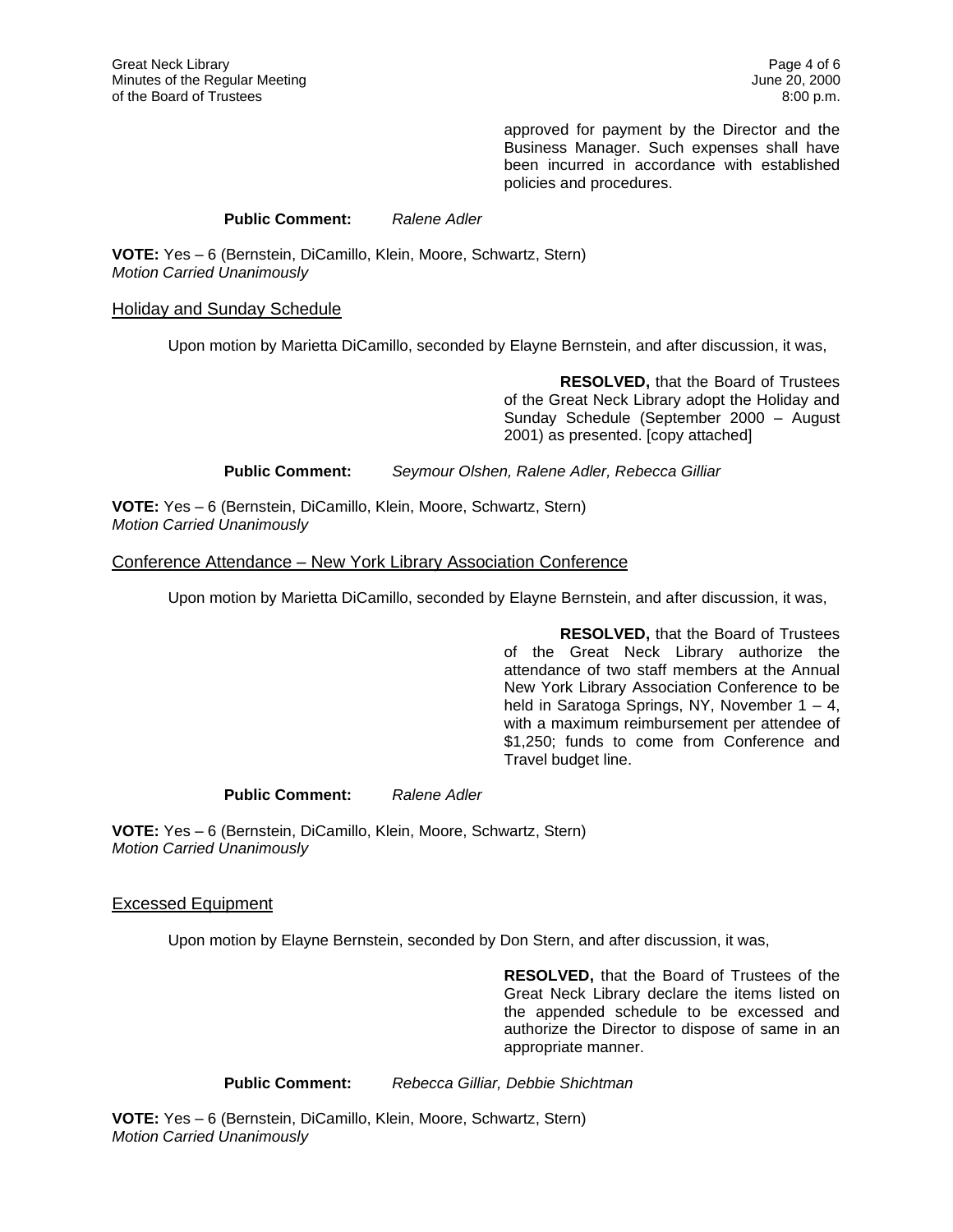approved for payment by the Director and the Business Manager. Such expenses shall have been incurred in accordance with established policies and procedures.

### **Public Comment:** *Ralene Adler*

**VOTE:** Yes – 6 (Bernstein, DiCamillo, Klein, Moore, Schwartz, Stern) *Motion Carried Unanimously*

#### Holiday and Sunday Schedule

Upon motion by Marietta DiCamillo, seconded by Elayne Bernstein, and after discussion, it was,

**RESOLVED,** that the Board of Trustees of the Great Neck Library adopt the Holiday and Sunday Schedule (September 2000 – August 2001) as presented. [copy attached]

**Public Comment:** *Seymour Olshen, Ralene Adler, Rebecca Gilliar*

**VOTE:** Yes – 6 (Bernstein, DiCamillo, Klein, Moore, Schwartz, Stern) *Motion Carried Unanimously*

### Conference Attendance – New York Library Association Conference

Upon motion by Marietta DiCamillo, seconded by Elayne Bernstein, and after discussion, it was,

**RESOLVED,** that the Board of Trustees of the Great Neck Library authorize the attendance of two staff members at the Annual New York Library Association Conference to be held in Saratoga Springs, NY, November 1 – 4, with a maximum reimbursement per attendee of \$1,250; funds to come from Conference and Travel budget line.

### **Public Comment:** *Ralene Adler*

**VOTE:** Yes – 6 (Bernstein, DiCamillo, Klein, Moore, Schwartz, Stern) *Motion Carried Unanimously*

Excessed Equipment

Upon motion by Elayne Bernstein, seconded by Don Stern, and after discussion, it was,

**RESOLVED,** that the Board of Trustees of the Great Neck Library declare the items listed on the appended schedule to be excessed and authorize the Director to dispose of same in an appropriate manner.

**Public Comment:** *Rebecca Gilliar, Debbie Shichtman*

**VOTE:** Yes – 6 (Bernstein, DiCamillo, Klein, Moore, Schwartz, Stern) *Motion Carried Unanimously*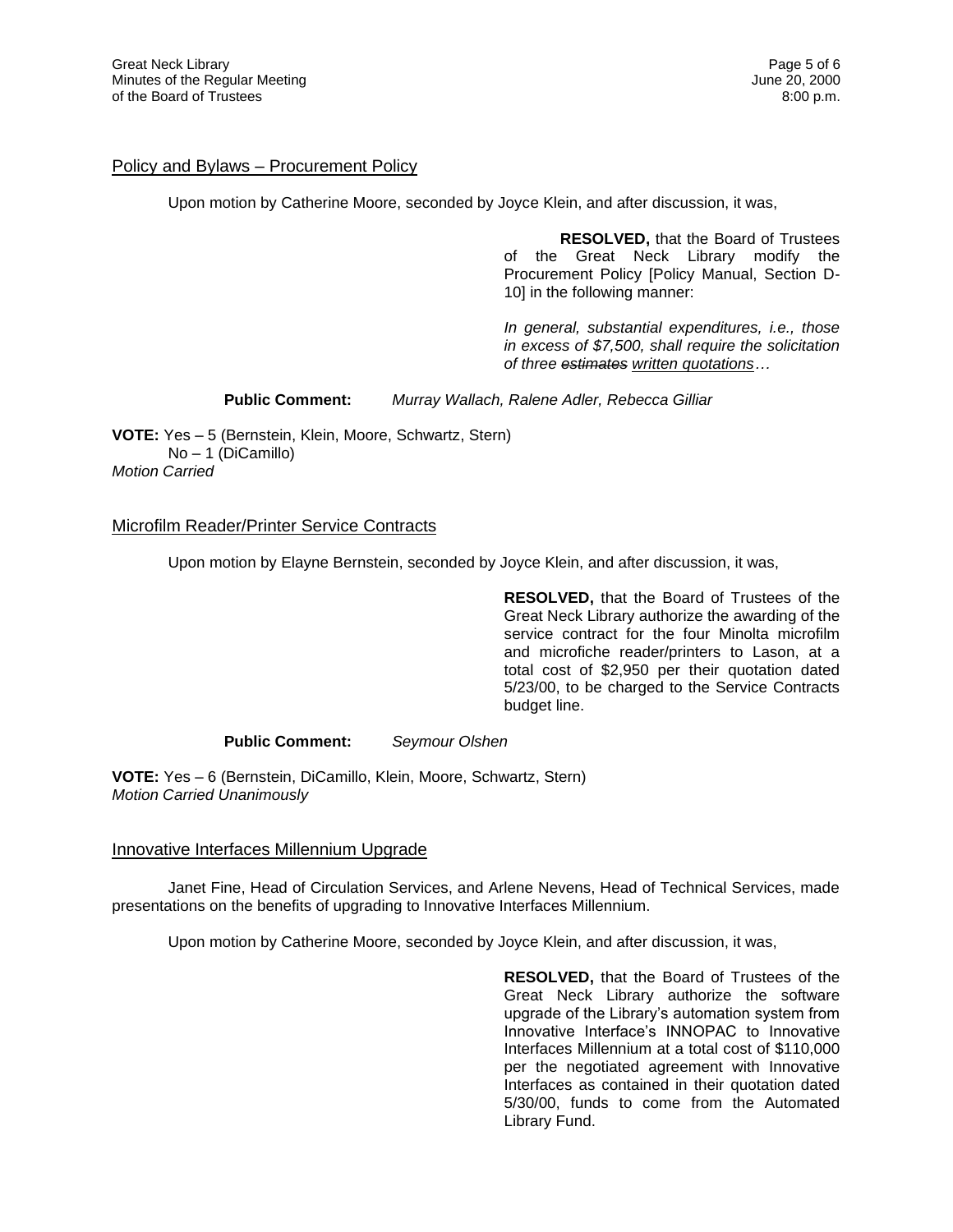### Policy and Bylaws – Procurement Policy

Upon motion by Catherine Moore, seconded by Joyce Klein, and after discussion, it was,

**RESOLVED,** that the Board of Trustees of the Great Neck Library modify the Procurement Policy [Policy Manual, Section D-10] in the following manner:

*In general, substantial expenditures, i.e., those in excess of \$7,500, shall require the solicitation of three estimates written quotations…*

**Public Comment:** *Murray Wallach, Ralene Adler, Rebecca Gilliar*

**VOTE:** Yes – 5 (Bernstein, Klein, Moore, Schwartz, Stern) No – 1 (DiCamillo) *Motion Carried* 

### Microfilm Reader/Printer Service Contracts

Upon motion by Elayne Bernstein, seconded by Joyce Klein, and after discussion, it was,

**RESOLVED,** that the Board of Trustees of the Great Neck Library authorize the awarding of the service contract for the four Minolta microfilm and microfiche reader/printers to Lason, at a total cost of \$2,950 per their quotation dated 5/23/00, to be charged to the Service Contracts budget line.

**Public Comment:** *Seymour Olshen*

**VOTE:** Yes – 6 (Bernstein, DiCamillo, Klein, Moore, Schwartz, Stern) *Motion Carried Unanimously*

#### Innovative Interfaces Millennium Upgrade

Janet Fine, Head of Circulation Services, and Arlene Nevens, Head of Technical Services, made presentations on the benefits of upgrading to Innovative Interfaces Millennium.

Upon motion by Catherine Moore, seconded by Joyce Klein, and after discussion, it was,

**RESOLVED,** that the Board of Trustees of the Great Neck Library authorize the software upgrade of the Library's automation system from Innovative Interface's INNOPAC to Innovative Interfaces Millennium at a total cost of \$110,000 per the negotiated agreement with Innovative Interfaces as contained in their quotation dated 5/30/00, funds to come from the Automated Library Fund.